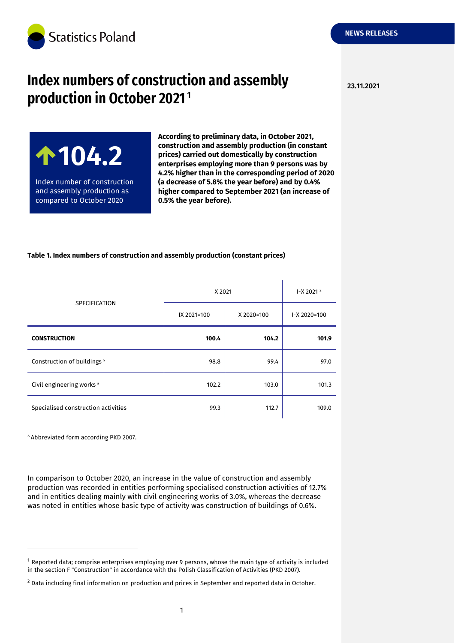

# **23.11.2021 Index numbers of construction and assembly production in October 2021<sup>1</sup>**

**104.2** Index number of construction and assembly production as compared to October 2020

**According to preliminary data, in October 2021, construction and assembly production (in constant prices) carried out domestically by construction enterprises employing more than 9 persons was by 4.2% higher than in the corresponding period of 2020 (a decrease of 5.8% the year before) and by 0.4% higher compared to September 2021 (an increase of 0.5% the year before).** 

ï

### **Table 1. Index numbers of construction and assembly production (constant prices)**

 $\mathbf{r}$ 

| <b>SPECIFICATION</b>                   | X 2021      |            | $-X$ 2021 $^2$  |
|----------------------------------------|-------------|------------|-----------------|
|                                        | IX 2021=100 | X 2020=100 | $-X 2020 = 100$ |
| <b>CONSTRUCTION</b>                    | 100.4       | 104.2      | 101.9           |
| Construction of buildings <sup>A</sup> | 98.8        | 99.4       | 97.0            |
| Civil engineering works $^{\Delta}$    | 102.2       | 103.0      | 101.3           |
| Specialised construction activities    | 99.3        | 112.7      | 109.0           |

Abbreviated form according PKD 2007.

-

In comparison to October 2020, an increase in the value of construction and assembly production was recorded in entities performing specialised construction activities of 12.7% and in entities dealing mainly with civil engineering works of 3.0%, whereas the decrease was noted in entities whose basic type of activity was construction of buildings of 0.6%.

 $1$  Reported data; comprise enterprises employing over 9 persons, whose the main type of activity is included in the section F "Construction" in accordance with the Polish Classification of Activities (PKD 2007).

<sup>&</sup>lt;sup>2</sup> Data including final information on production and prices in September and reported data in October.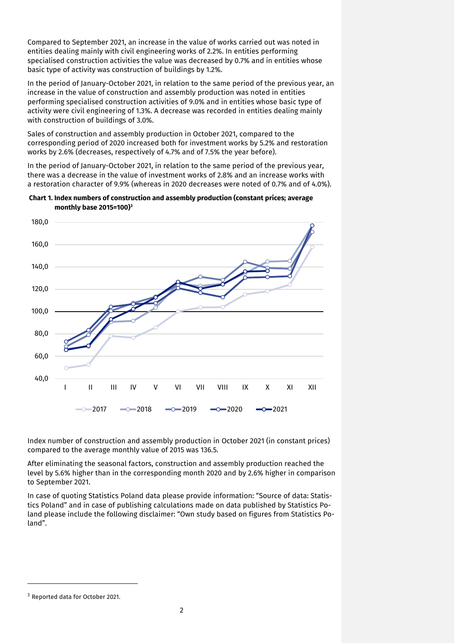Compared to September 2021, an increase in the value of works carried out was noted in entities dealing mainly with civil engineering works of 2.2%. In entities performing specialised construction activities the value was decreased by 0.7% and in entities whose basic type of activity was construction of buildings by 1.2%.

In the period of January-October 2021, in relation to the same period of the previous year, an increase in the value of construction and assembly production was noted in entities performing specialised construction activities of 9.0% and in entities whose basic type of activity were civil engineering of 1.3%. A decrease was recorded in entities dealing mainly with construction of buildings of 3.0%.

Sales of construction and assembly production in October 2021, compared to the corresponding period of 2020 increased both for investment works by 5.2% and restoration works by 2.6% (decreases, respectively of 4.7% and of 7.5% the year before).

In the period of January-October 2021, in relation to the same period of the previous year, there was a decrease in the value of investment works of 2.8% and an increase works with a restoration character of 9.9% (whereas in 2020 decreases were noted of 0.7% and of 4.0%).

**Chart 1. Index numbers of construction and assembly production (constant prices; average monthly base 2015=100) 3**



Index number of construction and assembly production in October 2021 (in constant prices) compared to the average monthly value of 2015 was 136.5.

After eliminating the seasonal factors, construction and assembly production reached the level by 5.6% higher than in the corresponding month 2020 and by 2.6% higher in comparison to September 2021.

In case of quoting Statistics Poland data please provide information: "Source of data: Statistics Poland" and in case of publishing calculations made on data published by Statistics Poland please include the following disclaimer: "Own study based on figures from Statistics Poland".

-

<sup>3</sup> Reported data for October 2021.